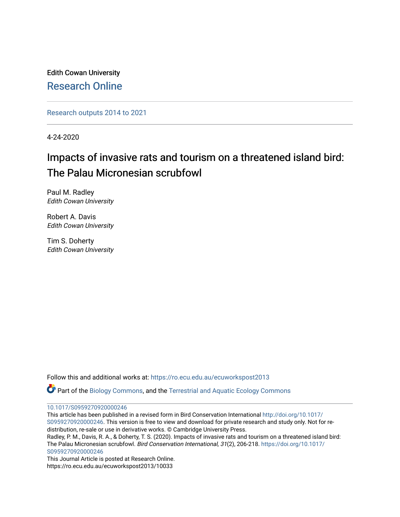Edith Cowan University [Research Online](https://ro.ecu.edu.au/) 

[Research outputs 2014 to 2021](https://ro.ecu.edu.au/ecuworkspost2013) 

4-24-2020

# Impacts of invasive rats and tourism on a threatened island bird: The Palau Micronesian scrubfowl

Paul M. Radley Edith Cowan University

Robert A. Davis Edith Cowan University

Tim S. Doherty Edith Cowan University

Follow this and additional works at: [https://ro.ecu.edu.au/ecuworkspost2013](https://ro.ecu.edu.au/ecuworkspost2013?utm_source=ro.ecu.edu.au%2Fecuworkspost2013%2F10033&utm_medium=PDF&utm_campaign=PDFCoverPages) 

Part of the [Biology Commons,](https://network.bepress.com/hgg/discipline/41?utm_source=ro.ecu.edu.au%2Fecuworkspost2013%2F10033&utm_medium=PDF&utm_campaign=PDFCoverPages) and the [Terrestrial and Aquatic Ecology Commons](https://network.bepress.com/hgg/discipline/20?utm_source=ro.ecu.edu.au%2Fecuworkspost2013%2F10033&utm_medium=PDF&utm_campaign=PDFCoverPages)

#### [10.1017/S0959270920000246](http://dx.doi.org/10.1017/S0959270920000246)

This article has been published in a revised form in Bird Conservation International [http://doi.org/10.1017/](http://doi.org/10.1017/S0959270920000246) [S0959270920000246](http://doi.org/10.1017/S0959270920000246). This version is free to view and download for private research and study only. Not for redistribution, re-sale or use in derivative works. © Cambridge University Press. Radley, P. M., Davis, R. A., & Doherty, T. S. (2020). Impacts of invasive rats and tourism on a threatened island bird: The Palau Micronesian scrubfowl. Bird Conservation International, 31(2), 206-218. [https://doi.org/10.1017/](https://doi.org/10.1017/S0959270920000246) [S0959270920000246](https://doi.org/10.1017/S0959270920000246) This Journal Article is posted at Research Online.

https://ro.ecu.edu.au/ecuworkspost2013/10033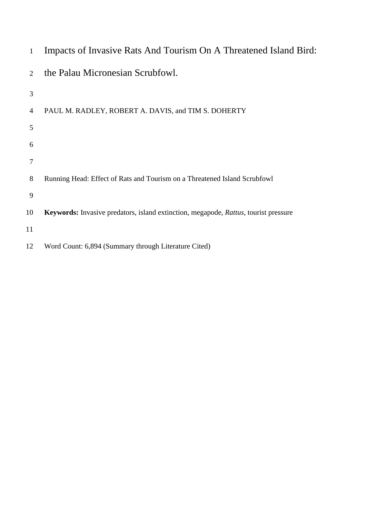| $\mathbf{1}$   | Impacts of Invasive Rats And Tourism On A Threatened Island Bird:                   |
|----------------|-------------------------------------------------------------------------------------|
| 2              | the Palau Micronesian Scrubfowl.                                                    |
| 3              |                                                                                     |
| $\overline{4}$ | PAUL M. RADLEY, ROBERT A. DAVIS, and TIM S. DOHERTY                                 |
| 5              |                                                                                     |
| 6              |                                                                                     |
| 7              |                                                                                     |
| 8              | Running Head: Effect of Rats and Tourism on a Threatened Island Scrubfowl           |
| 9              |                                                                                     |
| 10             | Keywords: Invasive predators, island extinction, megapode, Rattus, tourist pressure |
| 11             |                                                                                     |
| 12             | Word Count: 6,894 (Summary through Literature Cited)                                |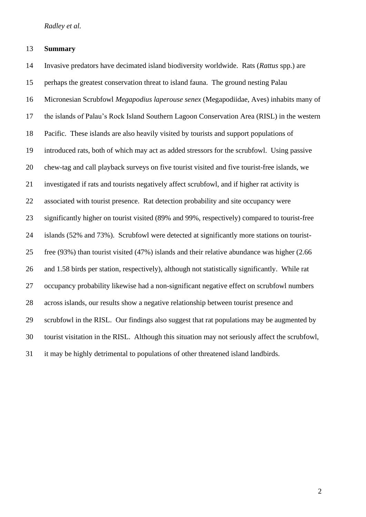### **Summary**

 Invasive predators have decimated island biodiversity worldwide. Rats (*Rattus* spp.) are perhaps the greatest conservation threat to island fauna. The ground nesting Palau Micronesian Scrubfowl *Megapodius laperouse senex* (Megapodiidae, Aves) inhabits many of the islands of Palau's Rock Island Southern Lagoon Conservation Area (RISL) in the western Pacific. These islands are also heavily visited by tourists and support populations of introduced rats, both of which may act as added stressors for the scrubfowl. Using passive chew-tag and call playback surveys on five tourist visited and five tourist-free islands, we investigated if rats and tourists negatively affect scrubfowl, and if higher rat activity is associated with tourist presence. Rat detection probability and site occupancy were significantly higher on tourist visited (89% and 99%, respectively) compared to tourist-free islands (52% and 73%). Scrubfowl were detected at significantly more stations on tourist- free (93%) than tourist visited (47%) islands and their relative abundance was higher (2.66 and 1.58 birds per station, respectively), although not statistically significantly. While rat occupancy probability likewise had a non-significant negative effect on scrubfowl numbers across islands, our results show a negative relationship between tourist presence and scrubfowl in the RISL. Our findings also suggest that rat populations may be augmented by tourist visitation in the RISL. Although this situation may not seriously affect the scrubfowl, it may be highly detrimental to populations of other threatened island landbirds.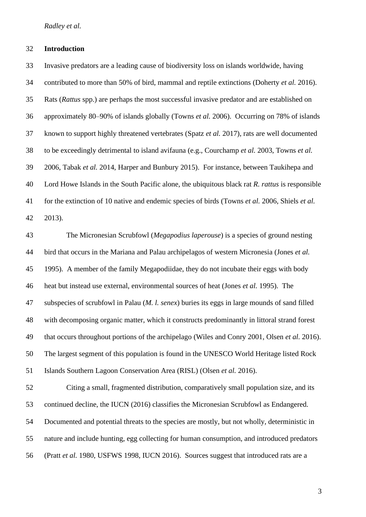### **Introduction**

 Invasive predators are a leading cause of biodiversity loss on islands worldwide, having contributed to more than 50% of bird, mammal and reptile extinctions (Doherty *et al.* 2016). Rats (*Rattus* spp.) are perhaps the most successful invasive predator and are established on approximately 80–90% of islands globally (Towns *et al.* 2006). Occurring on 78% of islands known to support highly threatened vertebrates (Spatz *et al.* 2017), rats are well documented to be exceedingly detrimental to island avifauna (e.g., Courchamp *et al.* 2003, Towns *et al.* 2006, Tabak *et al.* 2014, Harper and Bunbury 2015). For instance, between Taukihepa and Lord Howe Islands in the South Pacific alone, the ubiquitous black rat *R. rattus* is responsible for the extinction of 10 native and endemic species of birds (Towns *et al.* 2006, Shiels *et al.* 2013).

 The Micronesian Scrubfowl (*Megapodius laperouse*) is a species of ground nesting bird that occurs in the Mariana and Palau archipelagos of western Micronesia (Jones *et al.* 1995). A member of the family Megapodiidae, they do not incubate their eggs with body heat but instead use external, environmental sources of heat (Jones *et al.* 1995). The subspecies of scrubfowl in Palau (*M. l. senex*) buries its eggs in large mounds of sand filled with decomposing organic matter, which it constructs predominantly in littoral strand forest that occurs throughout portions of the archipelago (Wiles and Conry 2001, Olsen *et al.* 2016). The largest segment of this population is found in the UNESCO World Heritage listed Rock Islands Southern Lagoon Conservation Area (RISL) (Olsen *et al.* 2016).

 Citing a small, fragmented distribution, comparatively small population size, and its continued decline, the IUCN (2016) classifies the Micronesian Scrubfowl as Endangered. Documented and potential threats to the species are mostly, but not wholly, deterministic in nature and include hunting, egg collecting for human consumption, and introduced predators (Pratt *et al.* 1980, USFWS 1998, IUCN 2016). Sources suggest that introduced rats are a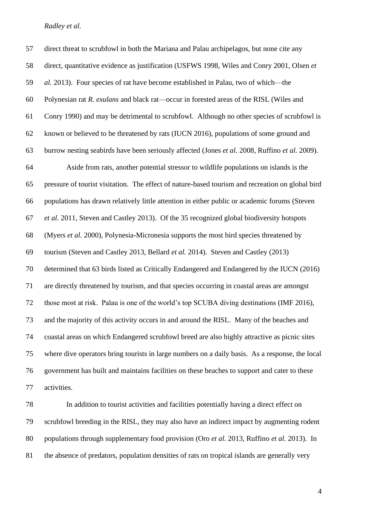direct threat to scrubfowl in both the Mariana and Palau archipelagos, but none cite any direct, quantitative evidence as justification (USFWS 1998, Wiles and Conry 2001, Olsen *et al.* 2013). Four species of rat have become established in Palau, two of which—the Polynesian rat *R. exulans* and black rat—occur in forested areas of the RISL (Wiles and Conry 1990) and may be detrimental to scrubfowl. Although no other species of scrubfowl is known or believed to be threatened by rats (IUCN 2016), populations of some ground and burrow nesting seabirds have been seriously affected (Jones *et al.* 2008, Ruffino *et al.* 2009). Aside from rats, another potential stressor to wildlife populations on islands is the pressure of tourist visitation. The effect of nature-based tourism and recreation on global bird populations has drawn relatively little attention in either public or academic forums (Steven *et al.* 2011, Steven and Castley 2013). Of the 35 recognized global biodiversity hotspots (Myers *et al.* 2000), Polynesia-Micronesia supports the most bird species threatened by tourism (Steven and Castley 2013, Bellard *et al.* 2014). Steven and Castley (2013) determined that 63 birds listed as Critically Endangered and Endangered by the IUCN (2016) are directly threatened by tourism, and that species occurring in coastal areas are amongst those most at risk. Palau is one of the world's top SCUBA diving destinations (IMF 2016), and the majority of this activity occurs in and around the RISL. Many of the beaches and coastal areas on which Endangered scrubfowl breed are also highly attractive as picnic sites where dive operators bring tourists in large numbers on a daily basis. As a response, the local government has built and maintains facilities on these beaches to support and cater to these activities.

 In addition to tourist activities and facilities potentially having a direct effect on scrubfowl breeding in the RISL, they may also have an indirect impact by augmenting rodent populations through supplementary food provision (Oro *et al.* 2013, Ruffino *et al.* 2013). In the absence of predators, population densities of rats on tropical islands are generally very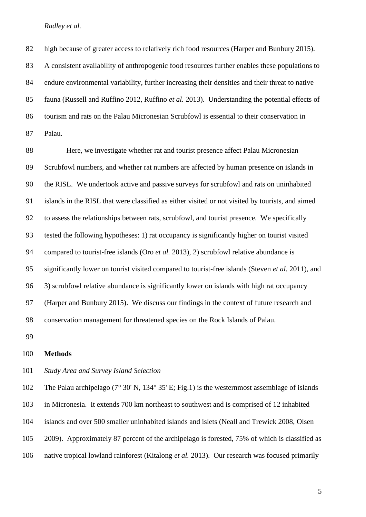high because of greater access to relatively rich food resources (Harper and Bunbury 2015). A consistent availability of anthropogenic food resources further enables these populations to endure environmental variability, further increasing their densities and their threat to native fauna (Russell and Ruffino 2012, Ruffino *et al.* 2013). Understanding the potential effects of tourism and rats on the Palau Micronesian Scrubfowl is essential to their conservation in Palau.

 Here, we investigate whether rat and tourist presence affect Palau Micronesian Scrubfowl numbers, and whether rat numbers are affected by human presence on islands in the RISL. We undertook active and passive surveys for scrubfowl and rats on uninhabited islands in the RISL that were classified as either visited or not visited by tourists, and aimed to assess the relationships between rats, scrubfowl, and tourist presence. We specifically tested the following hypotheses: 1) rat occupancy is significantly higher on tourist visited compared to tourist-free islands (Oro *et al.* 2013), 2) scrubfowl relative abundance is significantly lower on tourist visited compared to tourist-free islands (Steven *et al.* 2011), and 3) scrubfowl relative abundance is significantly lower on islands with high rat occupancy (Harper and Bunbury 2015). We discuss our findings in the context of future research and conservation management for threatened species on the Rock Islands of Palau.

### **Methods**

### *Study Area and Survey Island Selection*

 The Palau archipelago (7° 30' N, 134° 35' E; Fig.1) is the westernmost assemblage of islands in Micronesia. It extends 700 km northeast to southwest and is comprised of 12 inhabited islands and over 500 smaller uninhabited islands and islets (Neall and Trewick 2008, Olsen 2009). Approximately 87 percent of the archipelago is forested, 75% of which is classified as native tropical lowland rainforest (Kitalong *et al.* 2013). Our research was focused primarily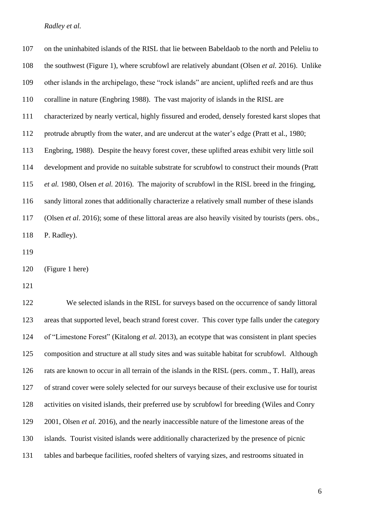on the uninhabited islands of the RISL that lie between Babeldaob to the north and Peleliu to the southwest (Figure 1), where scrubfowl are relatively abundant (Olsen *et al.* 2016). Unlike other islands in the archipelago, these "rock islands" are ancient, uplifted reefs and are thus coralline in nature (Engbring 1988). The vast majority of islands in the RISL are characterized by nearly vertical, highly fissured and eroded, densely forested karst slopes that protrude abruptly from the water, and are undercut at the water's edge (Pratt et al., 1980; Engbring, 1988). Despite the heavy forest cover, these uplifted areas exhibit very little soil development and provide no suitable substrate for scrubfowl to construct their mounds (Pratt *et al.* 1980, Olsen *et al.* 2016). The majority of scrubfowl in the RISL breed in the fringing, sandy littoral zones that additionally characterize a relatively small number of these islands (Olsen *et al*. 2016); some of these littoral areas are also heavily visited by tourists (pers. obs., P. Radley).

(Figure 1 here)

 We selected islands in the RISL for surveys based on the occurrence of sandy littoral areas that supported level, beach strand forest cover. This cover type falls under the category of "Limestone Forest" (Kitalong *et al.* 2013), an ecotype that was consistent in plant species composition and structure at all study sites and was suitable habitat for scrubfowl. Although rats are known to occur in all terrain of the islands in the RISL (pers. comm., T. Hall), areas of strand cover were solely selected for our surveys because of their exclusive use for tourist activities on visited islands, their preferred use by scrubfowl for breeding (Wiles and Conry 2001, Olsen *et al.* 2016), and the nearly inaccessible nature of the limestone areas of the islands. Tourist visited islands were additionally characterized by the presence of picnic tables and barbeque facilities, roofed shelters of varying sizes, and restrooms situated in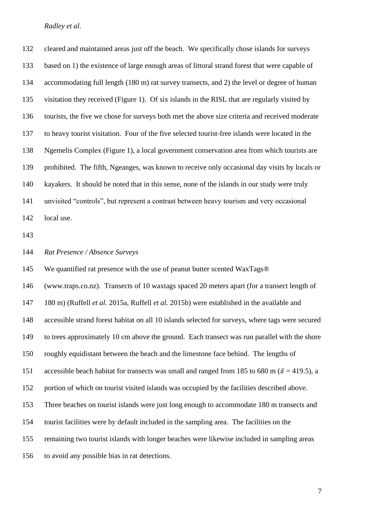cleared and maintained areas just off the beach. We specifically chose islands for surveys based on 1) the existence of large enough areas of littoral strand forest that were capable of accommodating full length (180 m) rat survey transects, and 2) the level or degree of human visitation they received (Figure 1). Of six islands in the RISL that are regularly visited by tourists, the five we chose for surveys both met the above size criteria and received moderate to heavy tourist visitation. Four of the five selected tourist-free islands were located in the Ngemelis Complex (Figure 1), a local government conservation area from which tourists are prohibited. The fifth, Ngeanges, was known to receive only occasional day visits by locals or kayakers. It should be noted that in this sense, none of the islands in our study were truly unvisited "controls", but represent a contrast between heavy tourism and very occasional local use.

### *Rat Presence / Absence Surveys*

We quantified rat presence with the use of peanut butter scented WaxTags®

(www.traps.co.nz). Transects of 10 waxtags spaced 20 meters apart (for a transect length of

180 m) (Ruffell *et al.* 2015a, Ruffell *et al.* 2015b) were established in the available and

accessible strand forest habitat on all 10 islands selected for surveys, where tags were secured

to trees approximately 10 cm above the ground. Each transect was run parallel with the shore

roughly equidistant between the beach and the limestone face behind. The lengths of

151 accessible beach habitat for transects was small and ranged from 185 to 680 m ( $\bar{x}$  = 419.5), a

portion of which on tourist visited islands was occupied by the facilities described above.

Three beaches on tourist islands were just long enough to accommodate 180 m transects and

tourist facilities were by default included in the sampling area. The facilities on the

remaining two tourist islands with longer beaches were likewise included in sampling areas

to avoid any possible bias in rat detections.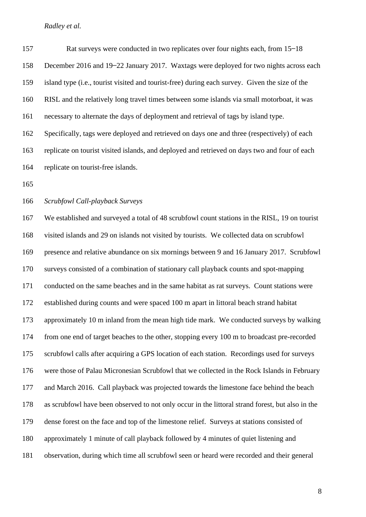| 157 | Rat surveys were conducted in two replicates over four nights each, from 15–18                   |
|-----|--------------------------------------------------------------------------------------------------|
| 158 | December 2016 and 19-22 January 2017. Waxtags were deployed for two nights across each           |
| 159 | island type (i.e., tourist visited and tourist-free) during each survey. Given the size of the   |
| 160 | RISL and the relatively long travel times between some islands via small motorboat, it was       |
| 161 | necessary to alternate the days of deployment and retrieval of tags by island type.              |
| 162 | Specifically, tags were deployed and retrieved on days one and three (respectively) of each      |
| 163 | replicate on tourist visited islands, and deployed and retrieved on days two and four of each    |
| 164 | replicate on tourist-free islands.                                                               |
| 165 |                                                                                                  |
| 166 | Scrubfowl Call-playback Surveys                                                                  |
| 167 | We established and surveyed a total of 48 scrubfowl count stations in the RISL, 19 on tourist    |
| 168 | visited islands and 29 on islands not visited by tourists. We collected data on scrubfowl        |
| 169 | presence and relative abundance on six mornings between 9 and 16 January 2017. Scrubfowl         |
| 170 | surveys consisted of a combination of stationary call playback counts and spot-mapping           |
| 171 | conducted on the same beaches and in the same habitat as rat surveys. Count stations were        |
| 172 | established during counts and were spaced 100 m apart in littoral beach strand habitat           |
| 173 | approximately 10 m inland from the mean high tide mark. We conducted surveys by walking          |
| 174 | from one end of target beaches to the other, stopping every 100 m to broadcast pre-recorded      |
| 175 | scrubfowl calls after acquiring a GPS location of each station. Recordings used for surveys      |
| 176 | were those of Palau Micronesian Scrubfowl that we collected in the Rock Islands in February      |
| 177 | and March 2016. Call playback was projected towards the limestone face behind the beach          |
| 178 | as scrubfowl have been observed to not only occur in the littoral strand forest, but also in the |
| 179 | dense forest on the face and top of the limestone relief. Surveys at stations consisted of       |
| 180 | approximately 1 minute of call playback followed by 4 minutes of quiet listening and             |
| 181 | observation, during which time all scrubfowl seen or heard were recorded and their general       |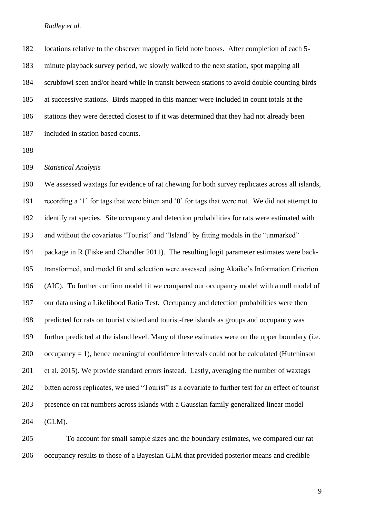locations relative to the observer mapped in field note books. After completion of each 5- minute playback survey period, we slowly walked to the next station, spot mapping all scrubfowl seen and/or heard while in transit between stations to avoid double counting birds at successive stations. Birds mapped in this manner were included in count totals at the 186 stations they were detected closest to if it was determined that they had not already been included in station based counts.

*Statistical Analysis*

 We assessed waxtags for evidence of rat chewing for both survey replicates across all islands, recording a '1' for tags that were bitten and '0' for tags that were not. We did not attempt to identify rat species. Site occupancy and detection probabilities for rats were estimated with and without the covariates "Tourist" and "Island" by fitting models in the "unmarked" package in R (Fiske and Chandler 2011). The resulting logit parameter estimates were back- transformed, and model fit and selection were assessed using Akaike's Information Criterion (AIC). To further confirm model fit we compared our occupancy model with a null model of our data using a Likelihood Ratio Test. Occupancy and detection probabilities were then predicted for rats on tourist visited and tourist-free islands as groups and occupancy was further predicted at the island level. Many of these estimates were on the upper boundary (i.e. 200 occupancy  $= 1$ ), hence meaningful confidence intervals could not be calculated (Hutchinson et al. 2015). We provide standard errors instead. Lastly, averaging the number of waxtags bitten across replicates, we used "Tourist" as a covariate to further test for an effect of tourist presence on rat numbers across islands with a Gaussian family generalized linear model (GLM).

 To account for small sample sizes and the boundary estimates, we compared our rat occupancy results to those of a Bayesian GLM that provided posterior means and credible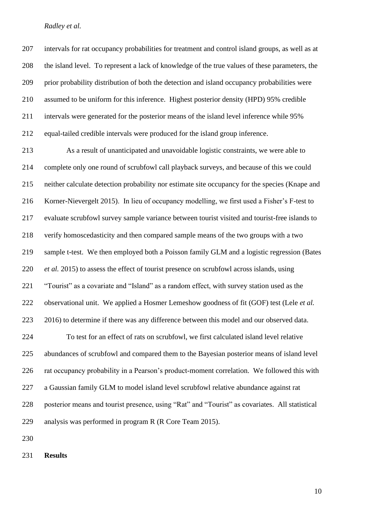intervals for rat occupancy probabilities for treatment and control island groups, as well as at the island level. To represent a lack of knowledge of the true values of these parameters, the prior probability distribution of both the detection and island occupancy probabilities were assumed to be uniform for this inference. Highest posterior density (HPD) 95% credible intervals were generated for the posterior means of the island level inference while 95% equal-tailed credible intervals were produced for the island group inference.

 As a result of unanticipated and unavoidable logistic constraints, we were able to complete only one round of scrubfowl call playback surveys, and because of this we could neither calculate detection probability nor estimate site occupancy for the species (Knape and Korner-Nievergelt 2015). In lieu of occupancy modelling, we first used a Fisher's F-test to evaluate scrubfowl survey sample variance between tourist visited and tourist-free islands to verify homoscedasticity and then compared sample means of the two groups with a two sample t-test. We then employed both a Poisson family GLM and a logistic regression (Bates *et al.* 2015) to assess the effect of tourist presence on scrubfowl across islands, using "Tourist" as a covariate and "Island" as a random effect, with survey station used as the observational unit. We applied a Hosmer Lemeshow goodness of fit (GOF) test (Lele *et al.* 223 2016) to determine if there was any difference between this model and our observed data. To test for an effect of rats on scrubfowl, we first calculated island level relative abundances of scrubfowl and compared them to the Bayesian posterior means of island level rat occupancy probability in a Pearson's product-moment correlation. We followed this with 227 a Gaussian family GLM to model island level scrubfowl relative abundance against rat posterior means and tourist presence, using "Rat" and "Tourist" as covariates. All statistical

analysis was performed in program R (R Core Team 2015).

**Results**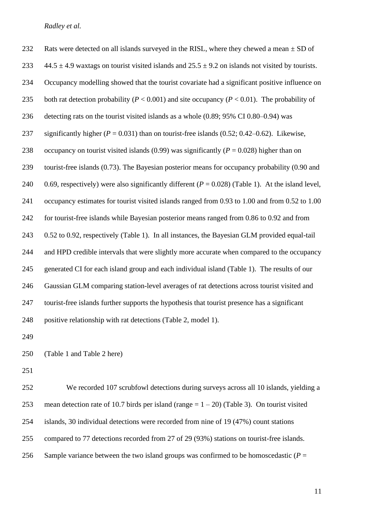232 Rats were detected on all islands surveyed in the RISL, where they chewed a mean  $\pm$  SD of 233 44.5  $\pm$  4.9 waxtags on tourist visited islands and 25.5  $\pm$  9.2 on islands not visited by tourists. Occupancy modelling showed that the tourist covariate had a significant positive influence on 235 both rat detection probability ( $P < 0.001$ ) and site occupancy ( $P < 0.01$ ). The probability of detecting rats on the tourist visited islands as a whole (0.89; 95% CI 0.80–0.94) was 237 significantly higher  $(P = 0.031)$  than on tourist-free islands  $(0.52; 0.42-0.62)$ . Likewise, 238 occupancy on tourist visited islands (0.99) was significantly ( $P = 0.028$ ) higher than on tourist-free islands (0.73). The Bayesian posterior means for occupancy probability (0.90 and 240 0.69, respectively) were also significantly different  $(P = 0.028)$  (Table 1). At the island level, occupancy estimates for tourist visited islands ranged from 0.93 to 1.00 and from 0.52 to 1.00 for tourist-free islands while Bayesian posterior means ranged from 0.86 to 0.92 and from 0.52 to 0.92, respectively (Table 1). In all instances, the Bayesian GLM provided equal-tail and HPD credible intervals that were slightly more accurate when compared to the occupancy generated CI for each island group and each individual island (Table 1). The results of our Gaussian GLM comparing station-level averages of rat detections across tourist visited and tourist-free islands further supports the hypothesis that tourist presence has a significant positive relationship with rat detections (Table 2, model 1).

(Table 1 and Table 2 here)

 We recorded 107 scrubfowl detections during surveys across all 10 islands, yielding a 253 mean detection rate of 10.7 birds per island (range  $= 1 - 20$ ) (Table 3). On tourist visited islands, 30 individual detections were recorded from nine of 19 (47%) count stations compared to 77 detections recorded from 27 of 29 (93%) stations on tourist-free islands. 256 Sample variance between the two island groups was confirmed to be homoscedastic  $(P =$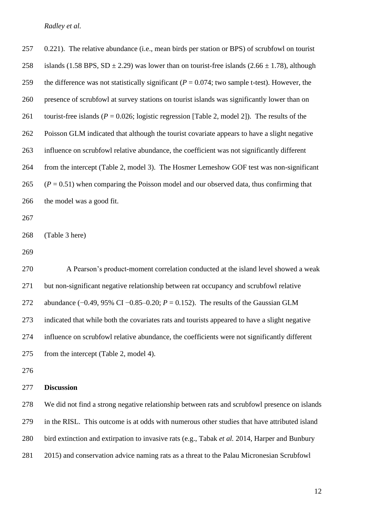| 257 | 0.221). The relative abundance (i.e., mean birds per station or BPS) of scrubfowl on tourist         |
|-----|------------------------------------------------------------------------------------------------------|
| 258 | islands (1.58 BPS, SD $\pm$ 2.29) was lower than on tourist-free islands (2.66 $\pm$ 1.78), although |
| 259 | the difference was not statistically significant ( $P = 0.074$ ; two sample t-test). However, the    |
| 260 | presence of scrubfowl at survey stations on tourist islands was significantly lower than on          |
| 261 | tourist-free islands ( $P = 0.026$ ; logistic regression [Table 2, model 2]). The results of the     |
| 262 | Poisson GLM indicated that although the tourist covariate appears to have a slight negative          |
| 263 | influence on scrubfowl relative abundance, the coefficient was not significantly different           |
| 264 | from the intercept (Table 2, model 3). The Hosmer Lemeshow GOF test was non-significant              |
| 265 | $(P = 0.51)$ when comparing the Poisson model and our observed data, thus confirming that            |
| 266 | the model was a good fit.                                                                            |
| 267 |                                                                                                      |
| 268 | (Table 3 here)                                                                                       |
| 269 |                                                                                                      |
| 270 | A Pearson's product-moment correlation conducted at the island level showed a weak                   |
| 271 | but non-significant negative relationship between rat occupancy and scrubfowl relative               |
| 272 | abundance $(-0.49, 95\% \text{ CI} -0.85 -0.20; P = 0.152)$ . The results of the Gaussian GLM        |
| 273 | indicated that while both the covariates rats and tourists appeared to have a slight negative        |
| 274 | influence on scrubfowl relative abundance, the coefficients were not significantly different         |
| 275 | from the intercept (Table 2, model 4).                                                               |
| 276 |                                                                                                      |
| 277 | <b>Discussion</b>                                                                                    |
| 278 | We did not find a strong negative relationship between rats and scrubfowl presence on islands        |
| 279 | in the RISL. This outcome is at odds with numerous other studies that have attributed island         |
| 280 | bird extinction and extirpation to invasive rats (e.g., Tabak et al. 2014, Harper and Bunbury        |
|     |                                                                                                      |

2015) and conservation advice naming rats as a threat to the Palau Micronesian Scrubfowl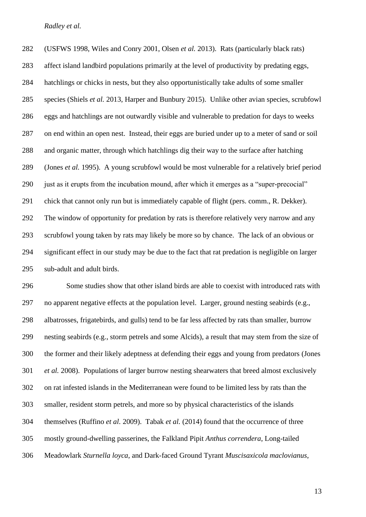(USFWS 1998, Wiles and Conry 2001, Olsen *et al.* 2013). Rats (particularly black rats) affect island landbird populations primarily at the level of productivity by predating eggs, hatchlings or chicks in nests, but they also opportunistically take adults of some smaller species (Shiels *et al.* 2013, Harper and Bunbury 2015). Unlike other avian species, scrubfowl eggs and hatchlings are not outwardly visible and vulnerable to predation for days to weeks on end within an open nest. Instead, their eggs are buried under up to a meter of sand or soil and organic matter, through which hatchlings dig their way to the surface after hatching (Jones *et al.* 1995). A young scrubfowl would be most vulnerable for a relatively brief period just as it erupts from the incubation mound, after which it emerges as a "super-precocial" chick that cannot only run but is immediately capable of flight (pers. comm., R. Dekker). The window of opportunity for predation by rats is therefore relatively very narrow and any scrubfowl young taken by rats may likely be more so by chance. The lack of an obvious or significant effect in our study may be due to the fact that rat predation is negligible on larger sub-adult and adult birds.

 Some studies show that other island birds are able to coexist with introduced rats with no apparent negative effects at the population level. Larger, ground nesting seabirds (e.g., albatrosses, frigatebirds, and gulls) tend to be far less affected by rats than smaller, burrow nesting seabirds (e.g., storm petrels and some Alcids), a result that may stem from the size of the former and their likely adeptness at defending their eggs and young from predators (Jones *et al.* 2008). Populations of larger burrow nesting shearwaters that breed almost exclusively on rat infested islands in the Mediterranean were found to be limited less by rats than the smaller, resident storm petrels, and more so by physical characteristics of the islands themselves (Ruffino *et al.* 2009). Tabak *et al.* (2014) found that the occurrence of three mostly ground-dwelling passerines, the Falkland Pipit *Anthus correndera*, Long-tailed Meadowlark *Sturnella loyca*, and Dark-faced Ground Tyrant *Muscisaxicola maclovianus*,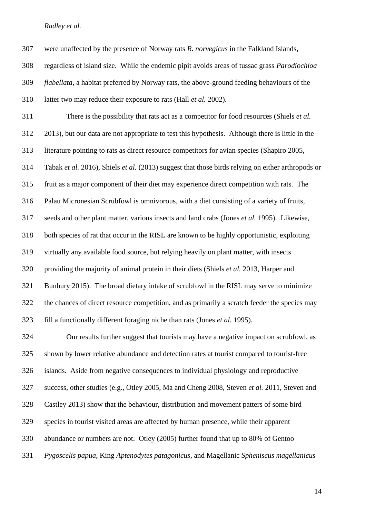were unaffected by the presence of Norway rats *R. norvegicus* in the Falkland Islands, regardless of island size. While the endemic pipit avoids areas of tussac grass *Parodiochloa flabellata*, a habitat preferred by Norway rats, the above-ground feeding behaviours of the latter two may reduce their exposure to rats (Hall *et al.* 2002). There is the possibility that rats act as a competitor for food resources (Shiels *et al.* 2013), but our data are not appropriate to test this hypothesis. Although there is little in the literature pointing to rats as direct resource competitors for avian species (Shapiro 2005, Tabak *et al.* 2016), Shiels *et al.* (2013) suggest that those birds relying on either arthropods or fruit as a major component of their diet may experience direct competition with rats. The Palau Micronesian Scrubfowl is omnivorous, with a diet consisting of a variety of fruits, seeds and other plant matter, various insects and land crabs (Jones *et al.* 1995). Likewise, both species of rat that occur in the RISL are known to be highly opportunistic, exploiting virtually any available food source, but relying heavily on plant matter, with insects providing the majority of animal protein in their diets (Shiels *et al.* 2013, Harper and Bunbury 2015). The broad dietary intake of scrubfowl in the RISL may serve to minimize the chances of direct resource competition, and as primarily a scratch feeder the species may fill a functionally different foraging niche than rats (Jones *et al.* 1995).

 Our results further suggest that tourists may have a negative impact on scrubfowl, as shown by lower relative abundance and detection rates at tourist compared to tourist-free islands. Aside from negative consequences to individual physiology and reproductive success, other studies (e.g., Otley 2005, Ma and Cheng 2008, Steven *et al.* 2011, Steven and Castley 2013) show that the behaviour, distribution and movement patters of some bird species in tourist visited areas are affected by human presence, while their apparent abundance or numbers are not. Otley (2005) further found that up to 80% of Gentoo *Pygoscelis papua*, King *Aptenodytes patagonicus*, and Magellanic *Spheniscus magellanicus*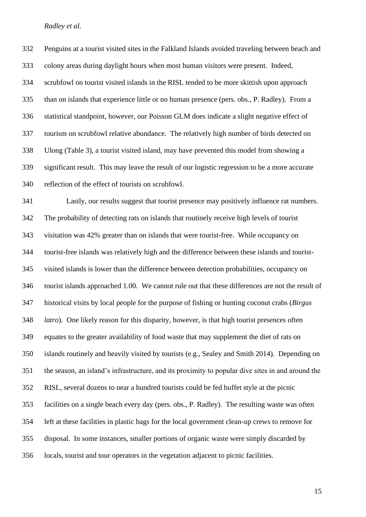Penguins at a tourist visited sites in the Falkland Islands avoided traveling between beach and colony areas during daylight hours when most human visitors were present. Indeed, scrubfowl on tourist visited islands in the RISL tended to be more skittish upon approach than on islands that experience little or no human presence (pers. obs., P. Radley). From a statistical standpoint, however, our Poisson GLM does indicate a slight negative effect of tourism on scrubfowl relative abundance. The relatively high number of birds detected on Ulong (Table 3), a tourist visited island, may have prevented this model from showing a significant result. This may leave the result of our logistic regression to be a more accurate reflection of the effect of tourists on scrubfowl.

 Lastly, our results suggest that tourist presence may positively influence rat numbers. The probability of detecting rats on islands that routinely receive high levels of tourist visitation was 42% greater than on islands that were tourist-free. While occupancy on tourist-free islands was relatively high and the difference between these islands and tourist- visited islands is lower than the difference between detection probabilities, occupancy on tourist islands approached 1.00. We cannot rule out that these differences are not the result of historical visits by local people for the purpose of fishing or hunting coconut crabs (*Birgus latro*). One likely reason for this disparity, however, is that high tourist presences often equates to the greater availability of food waste that may supplement the diet of rats on islands routinely and heavily visited by tourists (e.g., Sealey and Smith 2014). Depending on the season, an island's infrastructure, and its proximity to popular dive sites in and around the RISL, several dozens to near a hundred tourists could be fed buffet style at the picnic facilities on a single beach every day (pers. obs., P. Radley). The resulting waste was often left at these facilities in plastic bags for the local government clean-up crews to remove for disposal. In some instances, smaller portions of organic waste were simply discarded by locals, tourist and tour operators in the vegetation adjacent to picnic facilities.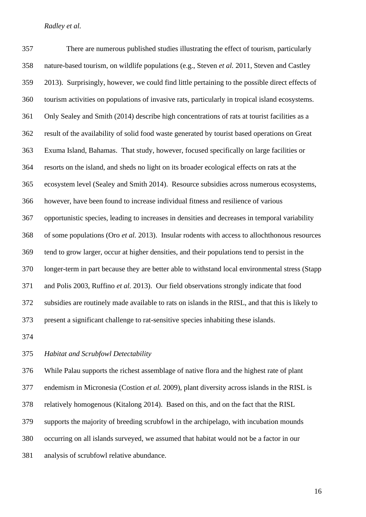There are numerous published studies illustrating the effect of tourism, particularly nature-based tourism, on wildlife populations (e.g., Steven *et al.* 2011, Steven and Castley 2013). Surprisingly, however, we could find little pertaining to the possible direct effects of tourism activities on populations of invasive rats, particularly in tropical island ecosystems. Only Sealey and Smith (2014) describe high concentrations of rats at tourist facilities as a result of the availability of solid food waste generated by tourist based operations on Great Exuma Island, Bahamas. That study, however, focused specifically on large facilities or resorts on the island, and sheds no light on its broader ecological effects on rats at the ecosystem level (Sealey and Smith 2014). Resource subsidies across numerous ecosystems, however, have been found to increase individual fitness and resilience of various opportunistic species, leading to increases in densities and decreases in temporal variability of some populations (Oro *et al.* 2013). Insular rodents with access to allochthonous resources tend to grow larger, occur at higher densities, and their populations tend to persist in the longer-term in part because they are better able to withstand local environmental stress (Stapp and Polis 2003, Ruffino *et al.* 2013). Our field observations strongly indicate that food subsidies are routinely made available to rats on islands in the RISL, and that this is likely to present a significant challenge to rat-sensitive species inhabiting these islands.

### *Habitat and Scrubfowl Detectability*

 While Palau supports the richest assemblage of native flora and the highest rate of plant endemism in Micronesia (Costion *et al.* 2009), plant diversity across islands in the RISL is relatively homogenous (Kitalong 2014). Based on this, and on the fact that the RISL supports the majority of breeding scrubfowl in the archipelago, with incubation mounds occurring on all islands surveyed, we assumed that habitat would not be a factor in our analysis of scrubfowl relative abundance.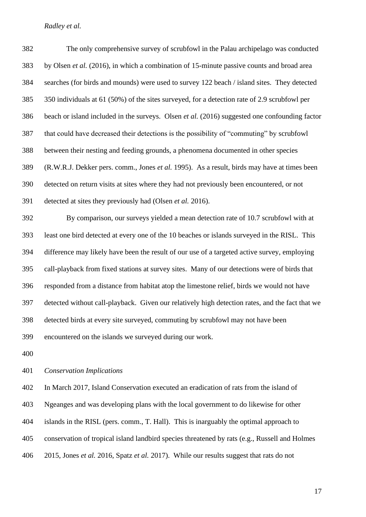| 382 | The only comprehensive survey of scrubfowl in the Palau archipelago was conducted                    |
|-----|------------------------------------------------------------------------------------------------------|
| 383 | by Olsen et al. (2016), in which a combination of 15-minute passive counts and broad area            |
| 384 | searches (for birds and mounds) were used to survey 122 beach / island sites. They detected          |
| 385 | 350 individuals at 61 (50%) of the sites surveyed, for a detection rate of 2.9 scrubfowl per         |
| 386 | beach or island included in the surveys. Olsen <i>et al.</i> (2016) suggested one confounding factor |
| 387 | that could have decreased their detections is the possibility of "commuting" by scrubfowl            |
| 388 | between their nesting and feeding grounds, a phenomena documented in other species                   |
| 389 | (R.W.R.J. Dekker pers. comm., Jones et al. 1995). As a result, birds may have at times been          |
| 390 | detected on return visits at sites where they had not previously been encountered, or not            |
| 391 | detected at sites they previously had (Olsen <i>et al.</i> 2016).                                    |

 By comparison, our surveys yielded a mean detection rate of 10.7 scrubfowl with at least one bird detected at every one of the 10 beaches or islands surveyed in the RISL. This difference may likely have been the result of our use of a targeted active survey, employing call-playback from fixed stations at survey sites. Many of our detections were of birds that responded from a distance from habitat atop the limestone relief, birds we would not have detected without call-playback. Given our relatively high detection rates, and the fact that we detected birds at every site surveyed, commuting by scrubfowl may not have been encountered on the islands we surveyed during our work.

*Conservation Implications*

 In March 2017, Island Conservation executed an eradication of rats from the island of Ngeanges and was developing plans with the local government to do likewise for other islands in the RISL (pers. comm., T. Hall). This is inarguably the optimal approach to conservation of tropical island landbird species threatened by rats (e.g., Russell and Holmes 2015, Jones *et al.* 2016, Spatz *et al.* 2017). While our results suggest that rats do not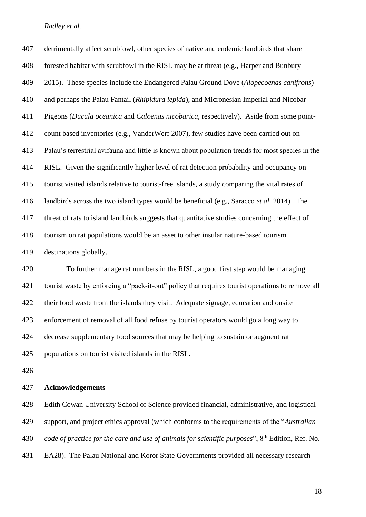detrimentally affect scrubfowl, other species of native and endemic landbirds that share forested habitat with scrubfowl in the RISL may be at threat (e.g., Harper and Bunbury 2015). These species include the Endangered Palau Ground Dove (*Alopecoenas canifrons*) and perhaps the Palau Fantail (*Rhipidura lepida*), and Micronesian Imperial and Nicobar Pigeons (*Ducula oceanica* and *Caloenas nicobarica*, respectively). Aside from some point- count based inventories (e.g., VanderWerf 2007), few studies have been carried out on Palau's terrestrial avifauna and little is known about population trends for most species in the RISL. Given the significantly higher level of rat detection probability and occupancy on tourist visited islands relative to tourist-free islands, a study comparing the vital rates of landbirds across the two island types would be beneficial (e.g., Saracco *et al.* 2014). The threat of rats to island landbirds suggests that quantitative studies concerning the effect of tourism on rat populations would be an asset to other insular nature-based tourism destinations globally.

 To further manage rat numbers in the RISL, a good first step would be managing tourist waste by enforcing a "pack-it-out" policy that requires tourist operations to remove all their food waste from the islands they visit. Adequate signage, education and onsite enforcement of removal of all food refuse by tourist operators would go a long way to decrease supplementary food sources that may be helping to sustain or augment rat populations on tourist visited islands in the RISL.

### **Acknowledgements**

 Edith Cowan University School of Science provided financial, administrative, and logistical support, and project ethics approval (which conforms to the requirements of the "*Australian code of practice for the care and use of animals for scientific purposes*", 8<sup>th</sup> Edition, Ref. No. EA28). The Palau National and Koror State Governments provided all necessary research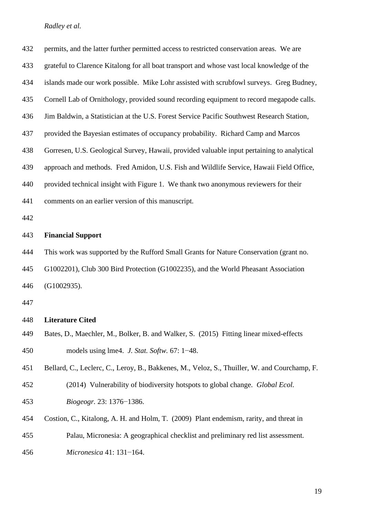| 432 | permits, and the latter further permitted access to restricted conservation areas. We are    |
|-----|----------------------------------------------------------------------------------------------|
| 433 | grateful to Clarence Kitalong for all boat transport and whose vast local knowledge of the   |
| 434 | islands made our work possible. Mike Lohr assisted with scrubfowl surveys. Greg Budney,      |
| 435 | Cornell Lab of Ornithology, provided sound recording equipment to record megapode calls.     |
| 436 | Jim Baldwin, a Statistician at the U.S. Forest Service Pacific Southwest Research Station,   |
| 437 | provided the Bayesian estimates of occupancy probability. Richard Camp and Marcos            |
| 438 | Gorresen, U.S. Geological Survey, Hawaii, provided valuable input pertaining to analytical   |
| 439 | approach and methods. Fred Amidon, U.S. Fish and Wildlife Service, Hawaii Field Office,      |
| 440 | provided technical insight with Figure 1. We thank two anonymous reviewers for their         |
| 441 | comments on an earlier version of this manuscript.                                           |
| 442 |                                                                                              |
| 443 | <b>Financial Support</b>                                                                     |
| 444 | This work was supported by the Rufford Small Grants for Nature Conservation (grant no.       |
| 445 | G1002201), Club 300 Bird Protection (G1002235), and the World Pheasant Association           |
| 446 | (G1002935).                                                                                  |
| 447 |                                                                                              |
| 448 | <b>Literature Cited</b>                                                                      |
| 449 | Bates, D., Maechler, M., Bolker, B. and Walker, S. (2015) Fitting linear mixed-effects       |
| 450 | models using lme4. <i>J. Stat. Softw.</i> 67: $1-48$ .                                       |
| 451 | Bellard, C., Leclerc, C., Leroy, B., Bakkenes, M., Veloz, S., Thuiller, W. and Courchamp, F. |
| 452 | (2014) Vulnerability of biodiversity hotspots to global change. Global Ecol.                 |
| 453 | Biogeogr. 23: 1376-1386.                                                                     |
| 454 | Costion, C., Kitalong, A. H. and Holm, T. (2009) Plant endemism, rarity, and threat in       |
| 455 | Palau, Micronesia: A geographical checklist and preliminary red list assessment.             |
| 456 | Micronesica 41: 131-164.                                                                     |
|     |                                                                                              |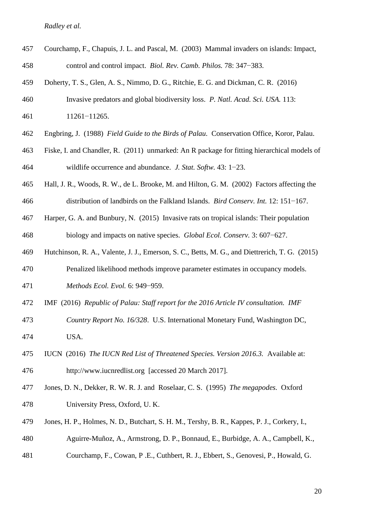| Courchamp, F., Chapuis, J. L. and Pascal, M. (2003) Mammal invaders on islands: Impact,        |
|------------------------------------------------------------------------------------------------|
| control and control impact. <i>Biol. Rev. Camb. Philos.</i> 78: 347–383.                       |
| Doherty, T. S., Glen, A. S., Nimmo, D. G., Ritchie, E. G. and Dickman, C. R. (2016)            |
| Invasive predators and global biodiversity loss. P. Natl. Acad. Sci. USA. 113:                 |
| $11261 - 11265.$                                                                               |
| Engbring, J. (1988) Field Guide to the Birds of Palau. Conservation Office, Koror, Palau.      |
| Fiske, I. and Chandler, R. (2011) unmarked: An R package for fitting hierarchical models of    |
| wildlife occurrence and abundance. <i>J. Stat. Softw.</i> 43: $1-23$ .                         |
| Hall, J. R., Woods, R. W., de L. Brooke, M. and Hilton, G. M. (2002) Factors affecting the     |
| distribution of landbirds on the Falkland Islands. <i>Bird Conserv. Int.</i> 12: 151-167.      |
| Harper, G. A. and Bunbury, N. (2015) Invasive rats on tropical islands: Their population       |
| biology and impacts on native species. Global Ecol. Conserv. 3: 607–627.                       |
| Hutchinson, R. A., Valente, J. J., Emerson, S. C., Betts, M. G., and Diettrerich, T. G. (2015) |
| Penalized likelihood methods improve parameter estimates in occupancy models.                  |
| Methods Ecol. Evol. 6: 949-959.                                                                |
| IMF (2016) Republic of Palau: Staff report for the 2016 Article IV consultation. IMF           |
| Country Report No. 16/328. U.S. International Monetary Fund, Washington DC,                    |
| USA.                                                                                           |
| IUCN (2016) The IUCN Red List of Threatened Species. Version 2016.3. Available at:             |
| http://www.iucnredlist.org [accessed 20 March 2017].                                           |
| Jones, D. N., Dekker, R. W. R. J. and Roselaar, C. S. (1995) The megapodes. Oxford             |
| University Press, Oxford, U. K.                                                                |
| Jones, H. P., Holmes, N. D., Butchart, S. H. M., Tershy, B. R., Kappes, P. J., Corkery, I.,    |
|                                                                                                |

- Aguirre-Muñoz, A., Armstrong, D. P., Bonnaud, E., Burbidge, A. A., Campbell, K.,
- Courchamp, F., Cowan, P .E., Cuthbert, R. J., Ebbert, S., Genovesi, P., Howald, G.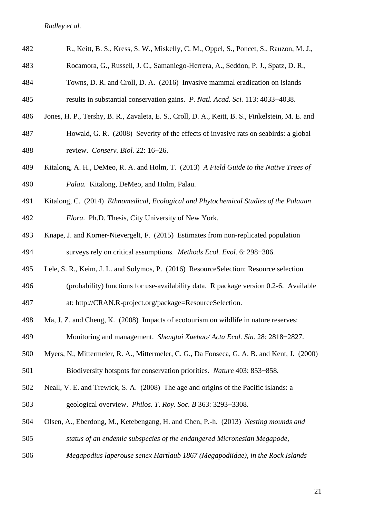| 482 | R., Keitt, B. S., Kress, S. W., Miskelly, C. M., Oppel, S., Poncet, S., Rauzon, M. J.,           |
|-----|--------------------------------------------------------------------------------------------------|
| 483 | Rocamora, G., Russell, J. C., Samaniego-Herrera, A., Seddon, P. J., Spatz, D. R.,                |
| 484 | Towns, D. R. and Croll, D. A. (2016) Invasive mammal eradication on islands                      |
| 485 | results in substantial conservation gains. P. Natl. Acad. Sci. 113: 4033-4038.                   |
| 486 | Jones, H. P., Tershy, B. R., Zavaleta, E. S., Croll, D. A., Keitt, B. S., Finkelstein, M. E. and |
| 487 | Howald, G. R. (2008) Severity of the effects of invasive rats on seabirds: a global              |
| 488 | review. Conserv. Biol. 22: 16-26.                                                                |
| 489 | Kitalong, A. H., DeMeo, R. A. and Holm, T. (2013) A Field Guide to the Native Trees of           |
| 490 | Palau. Kitalong, DeMeo, and Holm, Palau.                                                         |
| 491 | Kitalong, C. (2014) Ethnomedical, Ecological and Phytochemical Studies of the Palauan            |
| 492 | Flora. Ph.D. Thesis, City University of New York.                                                |
| 493 | Knape, J. and Korner-Nievergelt, F. (2015) Estimates from non-replicated population              |
| 494 | surveys rely on critical assumptions. Methods Ecol. Evol. 6: 298-306.                            |
| 495 | Lele, S. R., Keim, J. L. and Solymos, P. (2016) ResourceSelection: Resource selection            |
| 496 | (probability) functions for use-availability data. R package version 0.2-6. Available            |
| 497 | at: http://CRAN.R-project.org/package=ResourceSelection.                                         |
| 498 | Ma, J. Z. and Cheng, K. (2008) Impacts of ecotourism on wildlife in nature reserves:             |
| 499 | Monitoring and management. Shengtai Xuebao/Acta Ecol. Sin. 28: 2818–2827.                        |
| 500 | Myers, N., Mittermeler, R. A., Mittermeler, C. G., Da Fonseca, G. A. B. and Kent, J. (2000)      |
| 501 | Biodiversity hotspots for conservation priorities. Nature 403: 853-858.                          |
| 502 | Neall, V. E. and Trewick, S. A. (2008) The age and origins of the Pacific islands: a             |
| 503 | geological overview. Philos. T. Roy. Soc. B 363: 3293-3308.                                      |
| 504 | Olsen, A., Eberdong, M., Ketebengang, H. and Chen, P.-h. (2013) Nesting mounds and               |
| 505 | status of an endemic subspecies of the endangered Micronesian Megapode,                          |
| 506 | Megapodius laperouse senex Hartlaub 1867 (Megapodiidae), in the Rock Islands                     |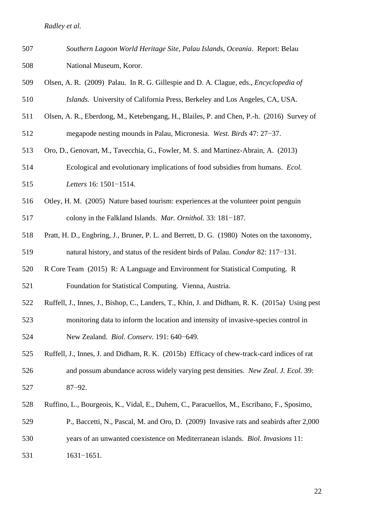| 507 | Southern Lagoon World Heritage Site, Palau Islands, Oceania. Report: Belau |
|-----|----------------------------------------------------------------------------|
| 508 | National Museum, Koror.                                                    |

- Olsen, A. R. (2009) Palau. In R. G. Gillespie and D. A. Clague, eds., *Encyclopedia of Islands.* University of California Press, Berkeley and Los Angeles, CA, USA.
- Olsen, A. R., Eberdong, M., Ketebengang, H., Blailes, P. and Chen, P.-h. (2016) Survey of megapode nesting mounds in Palau, Micronesia. *West. Birds* 47: 27−37.
- Oro, D., Genovart, M., Tavecchia, G., Fowler, M. S. and Martinez-Abrain, A. (2013)

Ecological and evolutionary implications of food subsidies from humans. *Ecol.* 

- *Letters* 16: 1501−1514.
- Otley, H. M. (2005) Nature based tourism: experiences at the volunteer point penguin colony in the Falkland Islands. *Mar. Ornithol.* 33: 181−187.
- Pratt, H. D., Engbring, J., Bruner, P. L. and Berrett, D. G. (1980) Notes on the taxonomy, natural history, and status of the resident birds of Palau. *Condor* 82: 117−131.
- R Core Team (2015) R: A Language and Environment for Statistical Computing. R

Foundation for Statistical Computing. Vienna, Austria.

- Ruffell, J., Innes, J., Bishop, C., Landers, T., Khin, J. and Didham, R. K. (2015a) Using pest
- monitoring data to inform the location and intensity of invasive-species control in New Zealand. *Biol. Conserv.* 191: 640−649.
- Ruffell, J., Innes, J. and Didham, R. K. (2015b) Efficacy of chew-track-card indices of rat and possum abundance across widely varying pest densities. *New Zeal. J. Ecol.* 39: 87−92.
- Ruffino, L., Bourgeois, K., Vidal, E., Duhem, C., Paracuellos, M., Escribano, F., Sposimo,
- P., Baccetti, N., Pascal, M. and Oro, D. (2009) Invasive rats and seabirds after 2,000
- years of an unwanted coexistence on Mediterranean islands. *Biol. Invasions* 11:
- 1631−1651.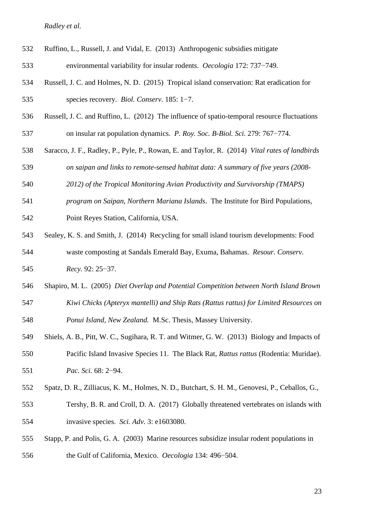- Ruffino, L., Russell, J. and Vidal, E. (2013) Anthropogenic subsidies mitigate environmental variability for insular rodents. *Oecologia* 172: 737−749.
- Russell, J. C. and Holmes, N. D. (2015) Tropical island conservation: Rat eradication for species recovery. *Biol. Conserv.* 185: 1−7.
- Russell, J. C. and Ruffino, L. (2012) The influence of spatio-temporal resource fluctuations on insular rat population dynamics. *P. Roy. Soc. B-Biol. Sci.* 279: 767−774.
- Saracco, J. F., Radley, P., Pyle, P., Rowan, E. and Taylor, R. (2014) *Vital rates of landbirds on saipan and links to remote-sensed habitat data: A summary of five years (2008-*
- *2012) of the Tropical Monitoring Avian Productivity and Survivorship (TMAPS)*
- *program on Saipan, Northern Mariana Islands*. The Institute for Bird Populations,
- Point Reyes Station, California, USA.
- Sealey, K. S. and Smith, J. (2014) Recycling for small island tourism developments: Food waste composting at Sandals Emerald Bay, Exuma, Bahamas. *Resour. Conserv.*
- *Recy.* 92: 25−37.
- Shapiro, M. L. (2005) *Diet Overlap and Potential Competition between North Island Brown*
- *Kiwi Chicks (Apteryx mantelli) and Ship Rats (Rattus rattus) for Limited Resources on Ponui Island, New Zealand.* M.Sc. Thesis, Massey University.
- Shiels, A. B., Pitt, W. C., Sugihara, R. T. and Witmer, G. W. (2013) Biology and Impacts of Pacific Island Invasive Species 11. The Black Rat, *Rattus rattus* (Rodentia: Muridae). *Pac. Sci.* 68: 2−94.
- Spatz, D. R., Zilliacus, K. M., Holmes, N. D., Butchart, S. H. M., Genovesi, P., Ceballos, G.,
- Tershy, B. R. and Croll, D. A. (2017) Globally threatened vertebrates on islands with invasive species. *Sci. Adv.* 3: e1603080.
- Stapp, P. and Polis, G. A. (2003) Marine resources subsidize insular rodent populations in the Gulf of California, Mexico. *Oecologia* 134: 496−504.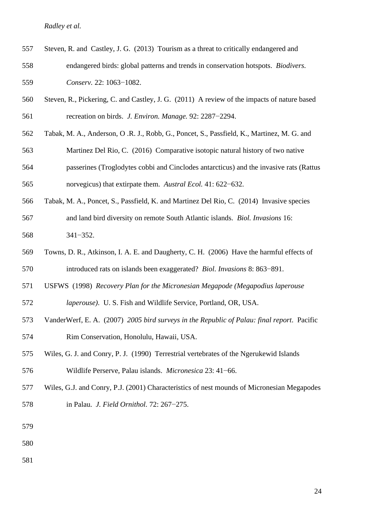| 557 | Steven, R. and Castley, J. G. (2013) Tourism as a threat to critically endangered and     |
|-----|-------------------------------------------------------------------------------------------|
| 558 | endangered birds: global patterns and trends in conservation hotspots. <i>Biodivers</i> . |
| 559 | Conserv. 22: 1063-1082.                                                                   |

- Steven, R., Pickering, C. and Castley, J. G. (2011) A review of the impacts of nature based recreation on birds. *J. Environ. Manage.* 92: 2287−2294.
- Tabak, M. A., Anderson, O .R. J., Robb, G., Poncet, S., Passfield, K., Martinez, M. G. and
- Martinez Del Rio, C. (2016) Comparative isotopic natural history of two native
- passerines (Troglodytes cobbi and Cinclodes antarcticus) and the invasive rats (Rattus norvegicus) that extirpate them. *Austral Ecol.* 41: 622−632.
- Tabak, M. A., Poncet, S., Passfield, K. and Martinez Del Rio, C. (2014) Invasive species and land bird diversity on remote South Atlantic islands. *Biol. Invasions* 16:
- 341−352.
- Towns, D. R., Atkinson, I. A. E. and Daugherty, C. H. (2006) Have the harmful effects of introduced rats on islands been exaggerated? *Biol. Invasions* 8: 863−891.
- USFWS (1998) *Recovery Plan for the Micronesian Megapode (Megapodius laperouse*
- *laperouse)*. U. S. Fish and Wildlife Service, Portland, OR, USA.
- VanderWerf, E. A. (2007) *2005 bird surveys in the Republic of Palau: final report*. Pacific Rim Conservation, Honolulu, Hawaii, USA.
- Wiles, G. J. and Conry, P. J. (1990) Terrestrial vertebrates of the Ngerukewid Islands Wildlife Perserve, Palau islands. *Micronesica* 23: 41−66.
- Wiles, G.J. and Conry, P.J. (2001) Characteristics of nest mounds of Micronesian Megapodes in Palau. *J. Field Ornithol.* 72: 267−275.
- 
- 
-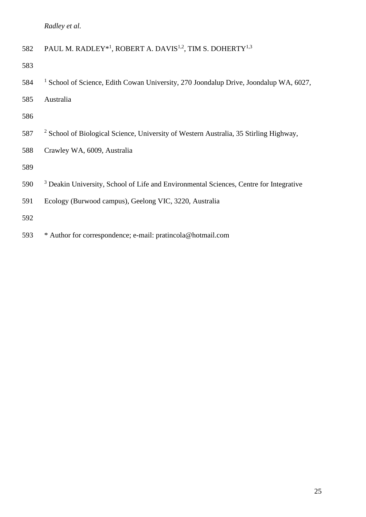| 582 PAUL M. RADLEY* <sup>1</sup> , ROBERT A. DAVIS <sup>1,2</sup> , TIM S. DOHERTY <sup>1,3</sup> |  |
|---------------------------------------------------------------------------------------------------|--|
|---------------------------------------------------------------------------------------------------|--|

583

- 584 <sup>1</sup> School of Science, Edith Cowan University, 270 Joondalup Drive, Joondalup WA, 6027,
- 585 Australia
- 586
- 587 <sup>2</sup> School of Biological Science, University of Western Australia, 35 Stirling Highway,
- 588 Crawley WA, 6009, Australia

589

- 590 <sup>3</sup> Deakin University, School of Life and Environmental Sciences, Centre for Integrative
- 591 Ecology (Burwood campus), Geelong VIC, 3220, Australia

592

593 \* Author for correspondence; e-mail: pratincola@hotmail.com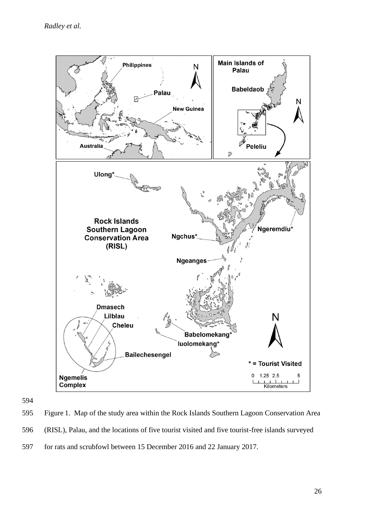



Figure 1. Map of the study area within the Rock Islands Southern Lagoon Conservation Area

- (RISL), Palau, and the locations of five tourist visited and five tourist-free islands surveyed
- for rats and scrubfowl between 15 December 2016 and 22 January 2017.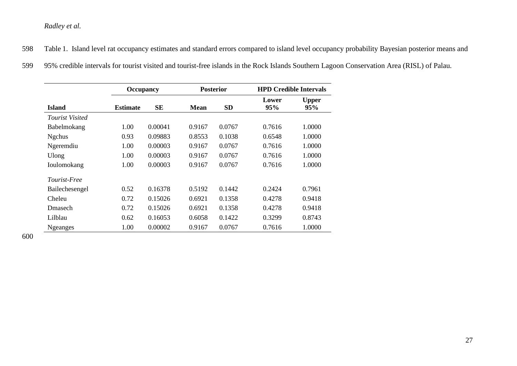598 Table 1. Island level rat occupancy estimates and standard errors compared to island level occupancy probability Bayesian posterior means and

599 95% credible intervals for tourist visited and tourist-free islands in the Rock Islands Southern Lagoon Conservation Area (RISL) of Palau.

|                        | <b>Posterior</b><br><b>Occupancy</b> |           |             | <b>HPD Credible Intervals</b> |              |                     |
|------------------------|--------------------------------------|-----------|-------------|-------------------------------|--------------|---------------------|
| <b>Island</b>          | <b>Estimate</b>                      | <b>SE</b> | <b>Mean</b> | <b>SD</b>                     | Lower<br>95% | <b>Upper</b><br>95% |
| <i>Tourist Visited</i> |                                      |           |             |                               |              |                     |
| Babelmokang            | 1.00                                 | 0.00041   | 0.9167      | 0.0767                        | 0.7616       | 1.0000              |
| <b>Ngchus</b>          | 0.93                                 | 0.09883   | 0.8553      | 0.1038                        | 0.6548       | 1.0000              |
| Ngeremdiu              | 1.00                                 | 0.00003   | 0.9167      | 0.0767                        | 0.7616       | 1.0000              |
| Ulong                  | 1.00                                 | 0.00003   | 0.9167      | 0.0767                        | 0.7616       | 1.0000              |
| Ioulomokang            | 1.00                                 | 0.00003   | 0.9167      | 0.0767                        | 0.7616       | 1.0000              |
| Tourist-Free           |                                      |           |             |                               |              |                     |
| Bailechesengel         | 0.52                                 | 0.16378   | 0.5192      | 0.1442                        | 0.2424       | 0.7961              |
| Cheleu                 | 0.72                                 | 0.15026   | 0.6921      | 0.1358                        | 0.4278       | 0.9418              |
| Dmasech                | 0.72                                 | 0.15026   | 0.6921      | 0.1358                        | 0.4278       | 0.9418              |
| Lilblau                | 0.62                                 | 0.16053   | 0.6058      | 0.1422                        | 0.3299       | 0.8743              |
| <b>Ngeanges</b>        | 1.00                                 | 0.00002   | 0.9167      | 0.0767                        | 0.7616       | 1.0000              |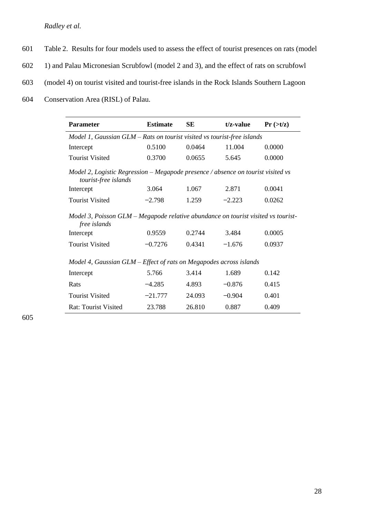- 601 Table 2. Results for four models used to assess the effect of tourist presences on rats (model
- 602 1) and Palau Micronesian Scrubfowl (model 2 and 3), and the effect of rats on scrubfowl
- 603 (model 4) on tourist visited and tourist-free islands in the Rock Islands Southern Lagoon
- 604 Conservation Area (RISL) of Palau.

| <b>Parameter</b>                                                                                         | <b>Estimate</b>                                                            | <b>SE</b> | $t/z$ -value | Pr(>t/z) |  |  |  |  |
|----------------------------------------------------------------------------------------------------------|----------------------------------------------------------------------------|-----------|--------------|----------|--|--|--|--|
|                                                                                                          |                                                                            |           |              |          |  |  |  |  |
|                                                                                                          | Model 1, Gaussian $GLM - R$ ats on tourist visited vs tourist-free islands |           |              |          |  |  |  |  |
| Intercept                                                                                                | 0.5100                                                                     | 0.0464    | 11.004       | 0.0000   |  |  |  |  |
| <b>Tourist Visited</b>                                                                                   | 0.3700                                                                     | 0.0655    | 5.645        | 0.0000   |  |  |  |  |
| Model 2, Logistic Regression – Megapode presence / absence on tourist visited vs<br>tourist-free islands |                                                                            |           |              |          |  |  |  |  |
| Intercept                                                                                                | 3.064                                                                      | 1.067     | 2.871        | 0.0041   |  |  |  |  |
| <b>Tourist Visited</b>                                                                                   | $-2.798$                                                                   | 1.259     | $-2.223$     | 0.0262   |  |  |  |  |
| Model 3, Poisson $GLM-Megapode$ relative abundance on tourist visited vs tourist-<br>free islands        |                                                                            |           |              |          |  |  |  |  |
| Intercept                                                                                                | 0.9559                                                                     | 0.2744    | 3.484        | 0.0005   |  |  |  |  |
| <b>Tourist Visited</b>                                                                                   | $-0.7276$                                                                  | 0.4341    | $-1.676$     | 0.0937   |  |  |  |  |
| Model 4, Gaussian $GLM - Effect$ of rats on Megapodes across islands                                     |                                                                            |           |              |          |  |  |  |  |
| Intercept                                                                                                | 5.766                                                                      | 3.414     | 1.689        | 0.142    |  |  |  |  |
| Rats                                                                                                     | $-4.285$                                                                   | 4.893     | $-0.876$     | 0.415    |  |  |  |  |
| <b>Tourist Visited</b>                                                                                   | $-21.777$                                                                  | 24.093    | $-0.904$     | 0.401    |  |  |  |  |
| Rat: Tourist Visited                                                                                     | 23.788                                                                     | 26.810    | 0.887        | 0.409    |  |  |  |  |